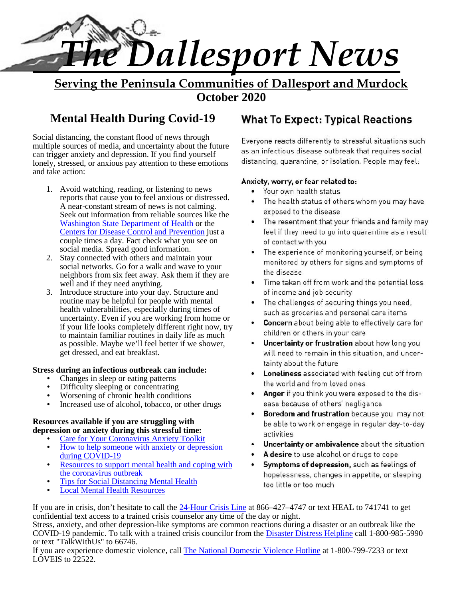

**Serving the Peninsula Communities of Dallesport and Murdock October 2020**

Social distancing, the constant flood of news through Social distancing, the constant 11000 of news through<br>multiple sources of media, and uncertainty about the future<br>as an infectious disease outbreak that requires social can trigger anxiety and depression. If you find yourself lonely, stressed, or anxious pay attention to these emotions distancing, quarantine, or isolation. People may feel: and take action:

- 1. Avoid watching, reading, or listening to news reports that cause you to feel anxious or distressed. A near-constant stream of news is not calming. Seek out information from reliable sources like the exposed to the disease<br>Washington State Department of Health or the **Exposed to the resentment that your** friends and family may Washington State Department of Health or the Centers for Disease Control and Prevention just a couple times a day. Fact check what you see on social media. Spread good information.
- 2. Stay connected with others and maintain your social networks. Go for a walk and wave to your neighbors from six feet away. Ask them if they are well and if they need anything.
- 3. Introduce structure into your day. Structure and routine may be helpful for people with mental health vulnerabilities, especially during times of uncertainty. Even if you are working from home or if your life looks completely different right now, try<br>to maintain familiar routines in daily life as much children or others in your care to maintain familiar routines in daily life as much as possible. Maybe we'll feel better if we shower, get dressed, and eat breakfast.

## **Stress during an infectious outbreak can include:**

- Changes in sleep or eating patterns
- Difficulty sleeping or concentrating
- Worsening of chronic health conditions
- Increased use of alcohol, tobacco, or other drugs

## **Resources available if you are struggling with depression or anxiety during this stressful time:**

- Care for Your Coronavirus Anxiety Toolkit How to help someone with anxiety or depression during COVID-19
- Resources to support mental health and coping with **Fig. 4 Symptoms of depression**, such as feelings of the coronavirus outbreak
- Tips for Social Distancing Mental Health
- Local Mental Health Resources

## **Mental Health During Covid-19**

## Anxiety, worry, or fear related to:

- Your own health status
- The health status of others whom you may have exposed to the disease
- feel if they need to go into quarantine as a result of contact with you
- The experience of monitoring yourself, or being monitored by others for signs and symptoms of the disease
- Time taken off from work and the potential loss of income and job security
- The challenges of securing things you need, such as groceries and personal care items
- 
- Uncertainty or frustration about how long you will need to remain in this situation, and uncertainty about the future
- **Loneliness** associated with feeling cut off from the world and from loved ones
- Anger if you think you were exposed to the disease because of others' negligence
- Boredom and frustration because you may not be able to work or engage in regular day-to-day activities
- Uncertainty or ambivalence about the situation
- A desire to use alcohol or drugs to cope
- hopelessness, changes in appetite, or sleeping too little or too much

If you are in crisis, don't hesitate to call the 24-Hour Crisis Line at 866–427–4747 or text HEAL to 741741 to get confidential text access to a trained crisis counselor any time of the day or night.

Stress, anxiety, and other depression-like symptoms are common reactions during a disaster or an outbreak like the COVID-19 pandemic. To talk with a trained crisis councilor from the Disaster Distress Helpline call 1-800-985-5990 or text "TalkWithUs" to 66746.

If you are experience domestic violence, call The National Domestic Violence Hotline at 1-800-799-7233 or text LOVEIS to 22522.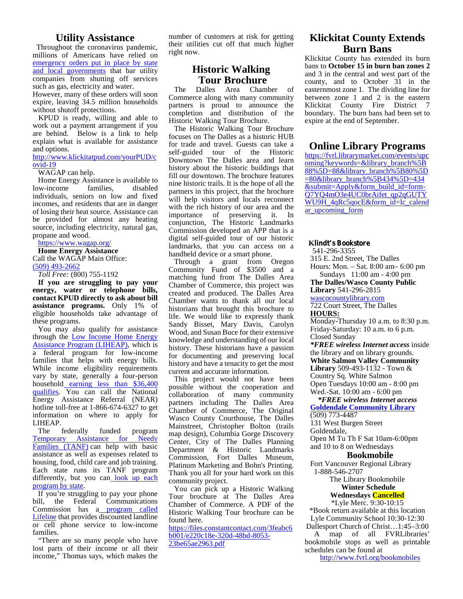## **Utility Assistance**

Throughout the coronavirus pandemic, millions of Americans have relied on emergency orders put in place by state and local governments that bar utility companies from shutting off services such as gas, electricity and water.

such as gas, electricity and water.<br>However, many of these orders will soon Comm expire, leaving 34.5 million households without shutoff protections.

KPUD is ready, willing and able to work out a payment arrangement if you are behind. Below is a link to help explain what is available for assistance and options.

http://www.klickitatpud.com/yourPUD/c ovid-19

WAGAP can help.

Home Energy Assistance is available to<br>by-income families, disabled low-income individuals, seniors on low and fixed incomes, and residents that are in danger of losing their heat source. Assistance can be provided for almost any heating source, including electricity, natural gas, propane and wood.

https://www.wagap.org/ **Home Energy Assistance**

Call the WAGAP Main Office: (509) 493-2662

*Toll Free:* (800) 755-1192

**If you are struggling to pay your energy, water or telephone bills, contact KPUD directly to ask about bill assistance programs.** Only 1% of eligible households take advantage of these programs.

You may also qualify for assistance through the Low Income Home Energy Assistance Program (LIHEAP), which is a federal program for low-income families that helps with energy bills. While income eligibility requirements vary by state, generally a four-person household earning less than \$36,400 qualifies. You can call the National Energy Assistance Referral (NEAR) hotline toll-free at 1-866-674-6327 to get information on where to apply for LIHEAP.

The federally funded program man design Temporary Assistance for Needy Center Families (TANF) can help with basic assistance as well as expenses related to housing, food, child care and job training. Each state runs its TANF program differently, but you can look up each program by state.

If you're struggling to pay your phone bill, the Federal Communications Commission has a program called Lifeline that provides discounted landline or cell phone service to low-income families.

"There are so many people who have lost parts of their income or all their income," Thomas says, which makes the number of customers at risk for getting their utilities cut off that much higher right now.

## **Historic Walking Tour Brochure**

Dalles Area Chamber of Commerce along with many community partners is proud to announce the completion and distribution of the Historic Walking Tour Brochure.

The Historic Walking Tour Brochure focuses on The Dalles as a historic HUB for trade and travel. Guests can take a self-guided tour of the Historic Downtown The Dalles area and learn history about the historic buildings that fill our downtown. The brochure features nine historic trails. It is the hope of all the partners in this project, that the brochure will help visitors and locals reconnect with the rich history of our area and the importance of preserving it. In conjunction, The Historic Landmarks Commission developed an APP that is a digital self-guided tour of our historic landmarks, that you can access on a handheld device or a smart phone.

Through a grant from Oregon Community Fund of \$3500 and a matching fund from The Dalles Area Chamber of Commerce, this project was created and produced. The Dalles Area Chamber wants to thank all our local historians that brought this brochure to life. We would like to expressly thank Sandy Bisset, Mary Davis, Carolyn Wood, and Susan Buce for their extensive knowledge and understanding of our local history. These historians have a passion for documenting and preserving local history and have a tenacity to get the most current and accurate information.

This project would not have been possible without the cooperation and  $\mathbf{Q}_{\text{N}_{\text{A}}}^{\text{D}}$ collaboration of many community  $\mathbb{R}^{\text{eq}}$ partners including The Dalles Area Chamber of Commerce, The Original Wasco County Courthouse, The Dalles Mainstreet, Christopher Bolton (trails map design), Columbia Gorge Discovery Center, City of The Dalles Planning Department & Historic Landmarks Commission, Fort Dalles Museum, Platinum Marketing and Bohn's Printing. Thank you all for your hard work on this community project.

You can pick up a Historic Walking Tour brochure at The Dalles Area Chamber of Commerce. A PDF of the Historic Walking Tour brochure can be found here.

https://files.constantcontact.com/3feabc6 b001/e220c18e-320d-48bd-8053- 23be65ae2963.pdf

## **Klickitat County Extends Burn Bans**

Klickitat County has extended its burn bans to **October 15 in burn ban zones 2** and 3 in the central and west part of the county, and to October 31 in the easternmost zone 1. The dividing line for between zone 1 and 2 is the eastern Klickitat County Fire District 7 boundary. The burn bans had been set to expire at the end of September.

## **Online Library Programs**

https://fvrl.librarymarket.com/events/upc oming?keywords=&library\_branch%5B 88%5D=88&library\_branch%5B80%5D =80&library\_branch%5B434%5D=434 &submit=Apply&form\_build\_id=form- Q7YQ4mO3e4UC0brAifet\_qp2qGUTY WU9H\_4qRc5qocE&form\_id=lc\_calend ar\_upcoming\_form

#### **Klindt's Bookstore**

541-296-3355

315 E. 2nd Street, The Dalles Hours: Mon. – Sat.8:00 am– 6:00 pm

Sundays 11:00 am - 4:00 pm **The Dalles/Wasco County Public**

**Library** 541-296-2815

wascocountylibrary.com

722 Court Street, The Dalles **HOURS:**

Monday-Thursday 10 a.m. to 8:30 p.m. Friday-Saturday: 10 a.m. to 6 p.m. Closed Sunday

*\*FREE wireless Internet access* inside the library and on library grounds. **White Salmon Valley Community Library** 509-493-1132 - Town & Country Sq. White Salmon

Open Tuesdays 10:00 am - 8:00 pm Wed.-Sat. 10:00 am - 6:00 pm

#### *\*FREE wireless Internet access* **Goldendale Community Library** (509) 773-4487

131 West Burgen Street

Goldendale,

Open M Tu Th F Sat 10am-6:00pm and 10 to 8 on Wednesdays

#### **Bookmobile**

Fort Vancouver Regional Library 1-888-546-2707

The Library Bookmobile

#### **Winter Schedule Wednesdays Cancelled**

\*Lyle Merc. 9:30-10:15

\*Book return available at this location Lyle Community School 10:30-12:30 Dallesport Church of Christ…1:45–3:00

A map of all FVRLibraries' bookmobile stops as well as printable

schedules can be found at http://www.fvrl.org/bookmobiles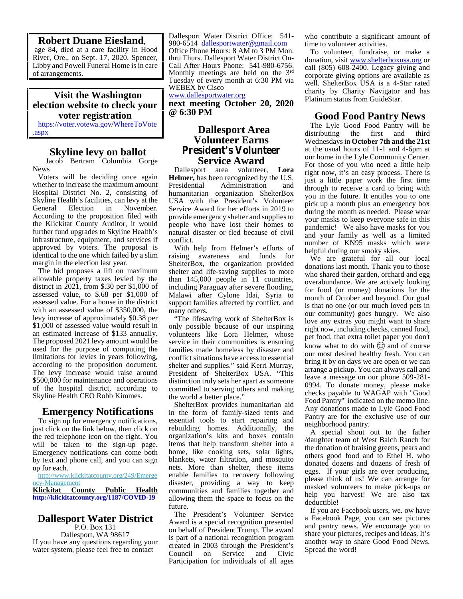### **Robert Duane Eiesland**,

age 84, died at a care facility in Hood of arrangements.

## **Visit the Washington election website to check your voter registration**

https://voter.votewa.gov/WhereToVote .aspx

## **Skyline levy on ballot**

Jacob Bertram Columbia Gorge News

Voters will be deciding once again whether to increase the maximum amount Presidential Hospital District No. 2, consisting of Skyline Health's facilities, can levy at the General Election in November. According to the proposition filed with the Klickitat County Auditor, it would further fund upgrades to Skyline Health's infrastructure, equipment, and services if approved by voters. The proposal is identical to the one which failed by a slim margin in the election last year.

The bid proposes a lift on maximum allowable property taxes levied by the district in 2021, from \$.30 per \$1,000 of assessed value, to \$.68 per \$1,000 of assessed value. For a house in the district with an assessed value of \$350,000, the levy increase of approximately \$0.38 per \$1,000 of assessed value would result in an estimated increase of \$133 annually. The proposed 2021 levy amount would be used for the purpose of computing the limitations for levies in years following, according to the proposition document. The levy increase would raise around \$500,000 for maintenance and operations of the hospital district, according to Skyline Health CEO Robb Kimmes.

## **Emergency Notifications**

To sign up for emergency notifications, just click on the link below, then click on the red telephone icon on the right. You will be taken to the sign-up page. Emergency notifications can come both by text and phone call, and you can sign up for each.

http://www.klickitatcounty.org/249/Emerge ncy-Management **Klickitat County Public Health http://klickitatcounty.org/1187/COVID-19**

## **Dallesport Water District**

P.O. Box 131 Dallesport, WA 98617 If you have any questions regarding your water system, please feel free to contact<br>Council

River, Ore., on Sept. 17, 2020. Spencer, thru Thurs. Dallesport Water District On-Libby and Powell Funeral Home is in care | Call After Hours Phone: 541-980-6756. Dallesport Water District Office: 541- 980-6514 dallesportwater@gmail.com Office Phone Hours: 8 AM to 3 PM Mon. Monthly meetings are held on the  $3<sup>rd</sup>$ <br>Tuesday of every month at 6:30 PM via WEBEX by Cisco

## www.dallesportwater.org **next meeting October 20, 2020**

**@ 6:30 PM**

## **Dallesport Area** distributing **Volunteer Earns President's Volunteer Service Award**

Dallesport area volunteer, **Lora Helmer,** has been recognized by the U.S. Administration and humanitarian organization ShelterBox USA with the President's Volunteer Service Award for her efforts in 2019 to provide emergency shelter and supplies to people who have lost their homes to natural disaster or fled because of civil conflict.

With help from Helmer's efforts of raising awareness and funds for ShelterBox, the organization provided shelter and life-saving supplies to more than 145,000 people in 11 countries, including Paraguay after severe flooding, Malawi after Cylone Idai, Syria to support families affected by conflict, and many others.

"The lifesaving work of ShelterBox is only possible because of our inspiring volunteers like Lora Helmer, whose service in their communities is ensuring families made homeless by disaster and conflict situations have access to essential shelter and supplies." said Kerri Murray, President of ShelterBox USA. "This distinction truly sets her apart as someone committed to serving others and making the world a better place."

ShelterBox provides humanitarian aid in the form of family-sized tents and essential tools to start repairing and rebuilding homes. Additionally, the organization's kits and boxes contain items that help transform shelter into a home, like cooking sets, solar lights, blankets, water filtration, and mosquito nets. More than shelter, these items enable families to recovery following disaster, providing a way to keep communities and families together and allowing them the space to focus on the future.

The President's Volunteer Service Award is a special recognition presented on behalf of President Trump. The award is part of a national recognition program created in 2003 through the President's on Service and Civic Participation for individuals of all ages

who contribute a significant amount of time to volunteer activities.

To volunteer, fundraise, or make a donation, visit www.shelterboxusa.org or call (805) 608-2400. Legacy giving and corporate giving options are available as well. ShelterBox USA is a 4-Star rated charity by Charity Navigator and has Platinum status from GuideStar.

## **Good Food Pantry News**

The Lyle Good Food Pantry will be the first and third Wednesdays in **October 7th and the 21st** at the usual hours of 11-1 and 4-6pm at our home in the Lyle Community Center. For those of you who need a little help right now, it's an easy process. There is just a little paper work the first time through to receive a card to bring with you in the future. It entitles you to one pick up a month plus an emergency box during the month as needed. Please wear your masks to keep everyone safe in this pandemic! We also have masks for you and your family as well as a limited number of KN95 masks which were helpful during our smoky skies.

We are grateful for all our local donations last month. Thank you to those who shared their garden, orchard and egg overabundance. We are actively looking for food (or money) donations for the month of October and beyond. Our goal is that no one (or our much loved pets in our community) goes hungry. We also love any extras you might want to share right now, including checks, canned food, pet food, that extra toilet paper you don't know what to do with  $\odot$  and of course our most desired healthy fresh. You can bring it by on days we are open or we can arrange a pickup. You can always call and leave a message on our phone 509-281- 0994. To donate money, please make checks payable to WAGAP with "Good Food Pantry'" indicated on the memo line. Any donations made to Lyle Good Food Pantry are for the exclusive use of our neighborhood pantry.

A special shout out to the father /daughter team of West Balch Ranch for the donation of braising greens, pears and others good food and to Ethel H. who donated dozens and dozens of fresh of eggs. If your girls are over producing, please think of us! We can arrange for masked volunteers to make pick-ups or help you harvest! We are also tax deductible!

If you are Facebook users, we. ow have a Facebook Page, you can see pictures and pantry news. We encourage you to share your pictures, recipes and ideas. It's another way to share Good Food News. Spread the word!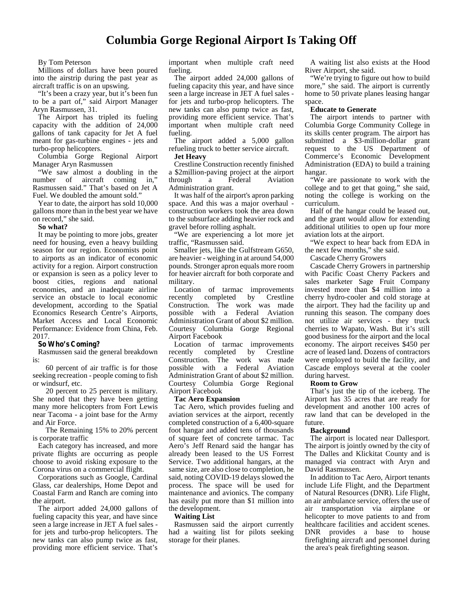## **Columbia Gorge Regional Airport Is Taking Off**

#### By Tom Peterson

Millions of dollars have been poured into the airstrip during the past year as aircraft traffic is on an upswing.

"It's been a crazy year, but it's been fun to be a part of," said Airport Manager Aryn Rasmussen, 31.

The Airport has tripled its fueling capacity with the addition of 24,000 gallons of tank capacity for Jet A fuel meant for gas-turbine engines - jets and turbo-prop helicopters.

Columbia Gorge Regional Airport Manager Aryn Rasmussen

"We saw almost a doubling in the umber of aircraft coming in," number of aircraft coming in," through Rasmussen said." That's based on Jet A Fuel. We doubled the amount sold."

Year to date, the airport has sold 10,000 gallons more than in the best year we have on record," she said.

#### **So what?**

It may be pointing to more jobs, greater need for housing, even a heavy building season for our region. Economists point to airports as an indicator of economic activity for a region. Airport construction or expansion is seen as a policy lever to boost cities, regions and national economies, and an inadequate airline service an obstacle to local economic recently development, according to the Spatial Economics Research Centre's Airports, Market Access and Local Economic Performance: Evidence from China, Feb. 2017.

#### **So Who's Coming?**

Rasmussen said the general breakdown is:

60 percent of air traffic is for those seeking recreation - people coming to fish or windsurf, etc.

20 percent to 25 percent is military. She noted that they have been getting many more helicopters from Fort Lewis near Tacoma - a joint base for the Army and Air Force.

The Remaining 15% to 20% percent is corporate traffic

Each category has increased, and more private flights are occurring as people choose to avoid risking exposure to the Corona virus on a commercial flight.

Corporations such as Google, Cardinal Glass, car dealerships, Home Depot and Coastal Farm and Ranch are coming into the airport.

The airport added 24,000 gallons of fueling capacity this year, and have since seen a large increase in JET A fuel sales for jets and turbo-prop helicopters. The new tanks can also pump twice as fast, providing more efficient service. That's important when multiple craft need fueling.

The airport added 24,000 gallons of fueling capacity this year, and have since seen a large increase in JET A fuel sales for jets and turbo-prop helicopters. The new tanks can also pump twice as fast, providing more efficient service. That's important when multiple craft need fueling.

The airport added a 5,000 gallon refueling truck to better service aircraft. **Jet Heavy**

Crestline Construction recently finished a \$2million-paving project at the airport a Federal Aviation Administration grant.

It was half of the airport's apron parking space. And this was a major overhaul construction workers took the area down to the subsurface adding heavier rock and gravel before rolling asphalt.

"We are experiencing a lot more jet traffic, "Rasmussen said.

Smaller jets, like the Gulfstream G650, are heavier - weighing in at around 54,000 pounds. Stronger apron equals more room for heavier aircraft for both corporate and military.

Location of tarmac improvements completed by Crestline Construction. The work was made possible with a Federal Aviation Administration Grant of about \$2 million. Courtesy Columbia Gorge Regional Airport Facebook

Location of tarmac improvements completed by Crestline Construction. The work was made possible with a Federal Aviation Administration Grant of about \$2 million. Courtesy Columbia Gorge Regional Airport Facebook

#### **Tac Aero Expansion**

Tac Aero, which provides fueling and aviation services at the airport, recently completed construction of a 6,400-square foot hangar and added tens of thousands of square feet of concrete tarmac. Tac Aero's Jeff Renard said the hangar has already been leased to the US Forrest Service. Two additional hangars, at the same size, are also close to completion, he said, noting COVID-19 delays slowed the process. The space will be used for maintenance and avionics. The company has easily put more than \$1 million into the development.

#### **Waiting List**

Rasmussen said the airport currently had a waiting list for pilots seeking storage for their planes.

A waiting list also exists at the Hood River Airport, she said.

"We're trying to figure out how to build more," she said. The airport is currently home to 50 private planes leasing hangar space.

#### **Educate to Generate**

The airport intends to partner with Columbia Gorge Community College in its skills center program. The airport has submitted a \$3-million-dollar grant request to the US Department of Commerce's Economic Development Administration (EDA) to build a training hangar.

"We are passionate to work with the college and to get that going," she said, noting the college is working on the curriculum.

Half of the hangar could be leased out, and the grant would allow for extending additional utilities to open up four more aviation lots at the airport.

"We expect to hear back from EDA in the next few months," she said.

Cascade Cherry Growers

Cascade Cherry Growers in partnership with Pacific Coast Cherry Packers and sales marketer Sage Fruit Company invested more than \$4 million into a cherry hydro-cooler and cold storage at the airport. They had the facility up and running this season. The company does not utilize air services - they truck cherries to Wapato, Wash. But it's still good business for the airport and the local economy. The airport receives \$450 per acre of leased land. Dozens of contractors were employed to build the facility, and Cascade employs several at the cooler during harvest.

#### **Room to Grow**

That's just the tip of the iceberg. The Airport has 35 acres that are ready for development and another 100 acres of raw land that can be developed in the future.

#### **Background**

The airport is located near Dallesport. The airport is jointly owned by the city of The Dalles and Klickitat County and is managed via contract with Aryn and David Rasmussen.

In addition to Tac Aero, Airport tenants include Life Flight, and the Department of Natural Resources (DNR). Life Flight, an air ambulance service, offers the use of air transportation via airplane or helicopter to move patients to and from healthcare facilities and accident scenes. DNR provides a base to house firefighting aircraft and personnel during the area's peak firefighting season.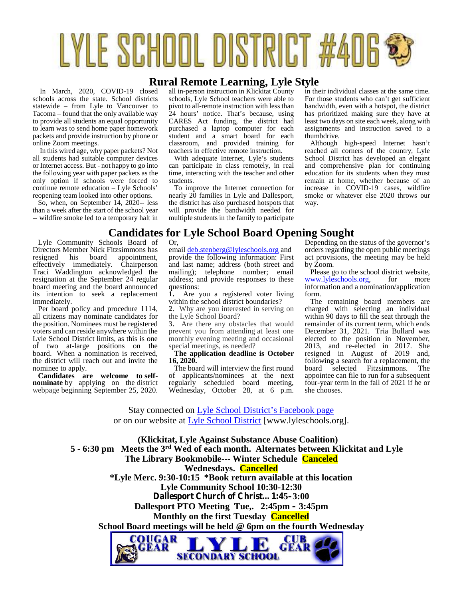# LYLE SCHOOL DISTRICT #406 \$

## **Rural Remote Learning, Lyle Style**

In March, 2020, COVID-19 closed schools across the state. School districts statewide – from Lyle to Vancouver to Tacoma – found that the only available way to provide all students an equal opportunity to learn was to send home paper homework packets and provide instruction by phone or online Zoom meetings.

In this wired age, why paper packets? Not all students had suitable computer devices or Internet access. But - not happy to go into the following year with paper packets as the only option if schools were forced to continue remote education – Lyle Schools' reopening team looked into other options.

So, when, on September 14, 2020-- less than a week after the start of the school year -- wildfire smoke led to a temporary halt in

Lyle Community Schools Board of Directors Member Nick Fitzsimmons has<br>resigned his board appointment, resigned his board appointment, effectively immediately. Chairperson Traci Waddington acknowledged the resignation at the September 24 regular board meeting and the board announced qu<br>its intention to seek a replacement 1. its intention to seek a replacement immediately.

Per board policy and procedure 1114, all citizens may nominate candidates for the position. Nominees must be registered voters and can reside anywhere within the Lyle School District limits, as this is one of two at-large positions on the board. When a nomination is received, the district will reach out and invite the nominee to apply.

**Candidates are welcome to self- nominate** by applying on the district webpage beginning September 25, 2020. all in-person instruction in Klickitat County schools, Lyle School teachers were able to pivot to all-remote instruction with less than 24 hours' notice. That's because, using CARES Act funding, the district had purchased a laptop computer for each student and a smart board for each classroom, and provided training for teachers in effective remote instruction.

With adequate Internet, Lyle's students can participate in class remotely, in real time, interacting with the teacher and other students.

To improve the Internet connection for nearly 20 families in Lyle and Dallesport, the district has also purchased hotspots that will provide the bandwidth needed for multiple students in the family to participate in their individual classes at the same time. For those students who can't get sufficient bandwidth, even with a hotspot, the district has prioritized making sure they have at least two days on site each week, along with assignments and instruction saved to a thumbdrive.

Although high-speed Internet hasn't reached all corners of the country, Lyle School District has developed an elegant and comprehensive plan for continuing education for its students when they must remain at home, whether because of an increase in COVID-19 cases, wildfire smoke or whatever else 2020 throws our way.

## **Candidates for Lyle School Board Opening Sought**

Or,

email deb.stenberg@lyleschools.org and provide the following information: First and last name; address (both street and mailing); telephone number; email address; and provide responses to these questions:

Are you a registered voter living within the school district boundaries?

**2.** Why are you interested in serving on the Lyle School Board?

**3.** Are there any obstacles that would prevent you from attending at least one monthly evening meeting and occasional special meetings, as needed?

**The application deadline is October 16, 2020.**

The board will interview the first round of applicants/nominees at the next regularly scheduled board meeting, Wednesday, October 28, at 6 p.m.

Depending on the status of the governor's orders regarding the open public meetings act provisions, the meeting may be held by Zoom.

Please go to the school district website, www.lyleschools.org, for more information and a nomination/application form.

The remaining board members are charged with selecting an individual within 90 days to fill the seat through the remainder of its current term, which ends December 31, 2021. Tria Bullard was elected to the position in November, 2013, and re-elected in 2017. She resigned in August of 2019 and, following a search for a replacement, the<br>hoard selected Fitzsimmons The board selected Fitzsimmons. appointee can file to run for a subsequent four-year term in the fall of 2021 if he or she chooses.

Stay connected on Lyle School District's Facebook page or on our website at Lyle School District [www.lyleschools.org].

**(Klickitat, Lyle Against Substance Abuse Coalition) 5 - 6:30 pm Meets the 3rd Wed of each month. Alternates between Klickitat and Lyle The Library Bookmobile--- Winter Schedule Canceled Wednesdays. Cancelled \*Lyle Merc. 9:30-10:15 \*Book return available at this location Lyle Community School 10:30-12:30 Dallesport Church of Christ…1:45–3:00 Dallesport PTO Meeting Tue,. 2:45pm – 3:45pm Monthly on the first Tuesday Cancelled School Board meetings will be held @ 6pm on the fourth Wednesday**OUGAR CUR FEAR GEAR

**SECONDARY SCHOOL**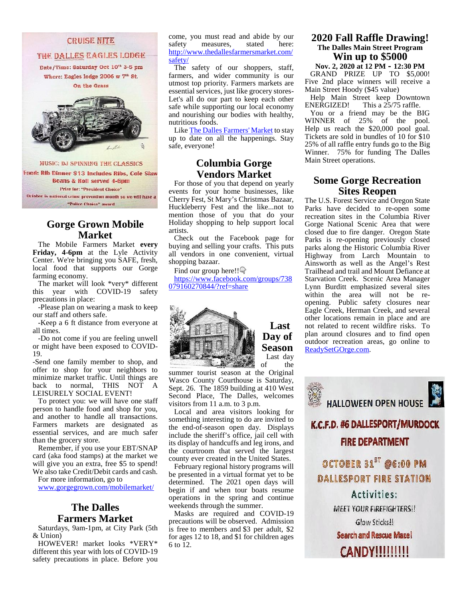#### **CRUISE NITE**

THE DALLES EAGLES LODGE

Date/Time: Saturday Oct 10<sup>th</sup> 3-5 pm Where: Eagles lodge 2006 w 7<sup>th</sup> St. On the Grass



MUSIC: DJ SPINNING THE CLASSICS

Food: Rib Dinner \$13 Includes Ribs, Cole Slaw **Beans & Roll served 4-6pm Prize for: "President Choice"** October is national crime prevention month so we will have a

"Police Choice" award

## **Gorge Grown Mobile Market**

The Mobile Farmers Market **every Friday, 4-6pm** at the Lyle Activity Center. We're bringing you SAFE, fresh, local food that supports our Gorge farming economy.

The market will look \*very\* different this year with COVID-19 safety precautions in place:

-Please plan on wearing a mask to keep our staff and others safe.

-Keep a 6 ft distance from everyone at all times.

-Do not come if you are feeling unwell or might have been exposed to COVID- 19.

-Send one family member to shop, and offer to shop for your neighbors to minimize market traffic. Until things are back to normal, THIS NOT A LEISURELY SOCIAL EVENT!

To protect you: we will have one staff person to handle food and shop for you, and another to handle all transactions. Farmers markets are designated as essential services, and are much safer than the grocery store.

Remember, if you use your EBT/SNAP card (aka food stamps) at the market we will give you an extra, free \$5 to spend! We also take Credit/Debit cards and cash.

For more information, go to

www.gorgegrown.com/mobilemarket/

## **The Dalles Farmers Market**

Saturdays, 9am-1pm, at City Park (5th & Union)

HOWEVER! market looks \*VERY\* different this year with lots of COVID-19 safety precautions in place. Before you come, you must read and abide by our safety measures, stated here: http://www.thedallesfarmersmarket.com/ safety/

The safety of our shoppers, staff, farmers, and wider community is our utmost top priority. Farmers markets are essential services, just like grocery stores- Let's all do our part to keep each other Help Main<br>safe while supporting our local economy ENERGIZED! safe while supporting our local economy and nourishing our bodies with healthy, nutritious foods.

Like The Dalles Farmers' Market to stay up to date on all the happenings. Stay safe, everyone!

## **Columbia Gorge Vendors Market**

For those of you that depend on yearly events for your home businesses, like Cherry Fest, St Mary's Christmas Bazaar, Huckleberry Fest and the like...not to mention those of you that do your Holiday shopping to help support local artists.

Check out the Facebook page for buying and selling your crafts. This puts all vendors in one convenient, virtual shopping bazaar.

Find our group here!!

https://www.facebook.com/groups/738 079160270844/?ref=share



**Last Day of** Last day<br>of the the

summer tourist season at the Original Wasco County Courthouse is Saturday, Sept. 26. The 1859 building at 410 West Second Place, The Dalles, welcomes visitors from 11 a.m. to 3 p.m.

Local and area visitors looking for the end-of-season open day. Displays include the sheriff's office, jail cell with its display of handcuffs and leg irons, and the courtroom that served the largest county ever created in the United States.

February regional history programs will determined. The 2021 open days will begin if and when tour boats resume operations in the spring and continue weekends through the summer.

Masks are required and COVID-19 precautions will be observed. Admission is free to members and \$3 per adult, \$2 for ages 12 to 18, and \$1 for children ages 6 to 12.

## **2020 Fall Raffle Drawing! The Dalles Main Street Program Win up to \$5000**

**Nov. 2, 2020 at 12 PM – 12:30 PM** GRAND PRIZE UP TO \$5,000! Five 2nd place winners will receive a Main Street Hoody (\$45 value)

Help Main Street keep Downtown This a  $25/75$  raffle.

You or a friend may be the BIG WINNER of 25% of the pool. Help us reach the \$20,000 pool goal. Tickets are sold in bundles of 10 for \$10 25% of all raffle entry funds go to the Big Winner. 75% for funding The Dalles Main Street operations.

## **Some Gorge Recreation Sites Reopen**

**Season** ReadySetGOrge.com. The U.S. Forest Service and Oregon State Parks have decided to re-open some recreation sites in the Columbia River Gorge National Scenic Area that were closed due to fire danger. Oregon State Parks is re-opening previously closed parks along the Historic Columbia River Highway from Larch Mountain to Ainsworth as well as the Angel's Rest Trailhead and trail and Mount Defiance at Starvation Creek. Scenic Area Manager Lynn Burditt emphasized several sites within the area will not be re opening. Public safety closures near Eagle Creek, Herman Creek, and several other locations remain in place and are not related to recent wildfire risks. To plan around closures and to find open outdoor recreation areas, go online to

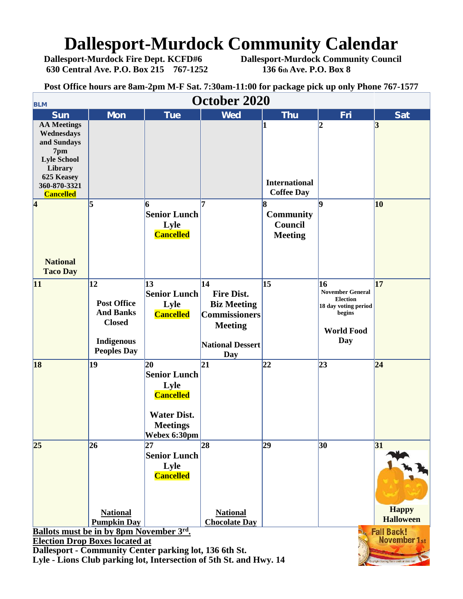## **Dallesport-Murdock Community Calendar**<br>Dallesport-Murdock Fire Dept. KCFD#6 Dallesport-Murdock Community Council

**630 Central Ave. P.O. Box 215 767-1252 136 6th Ave. P.O. Box 8**

**Dallesport-Murdock Community Council** 

**Post Office hours are 8am-2pm M-F Sat. 7:30am-11:00 for package pick up only Phone 767-1577**

| $\frac{1}{2}$ one of the set of $\frac{1}{2}$ of $\frac{1}{2}$ of $\frac{1}{2}$ of $\frac{1}{2}$ of $\frac{1}{2}$ of $\frac{1}{2}$ of $\frac{1}{2}$ of $\frac{1}{2}$ of $\frac{1}{2}$ of $\frac{1}{2}$ of $\frac{1}{2}$<br>October 2020<br><b>BLM</b> |                                                                                                    |                                                                                                                |                                                                                                                     |                                                     |                                                                                                          |                                  |  |  |  |  |
|-------------------------------------------------------------------------------------------------------------------------------------------------------------------------------------------------------------------------------------------------------|----------------------------------------------------------------------------------------------------|----------------------------------------------------------------------------------------------------------------|---------------------------------------------------------------------------------------------------------------------|-----------------------------------------------------|----------------------------------------------------------------------------------------------------------|----------------------------------|--|--|--|--|
| <b>Sun</b>                                                                                                                                                                                                                                            | <b>Mon</b>                                                                                         | <b>Tue</b>                                                                                                     | <b>Wed</b>                                                                                                          | <b>Thu</b>                                          | Fri                                                                                                      | <b>Sat</b>                       |  |  |  |  |
| <b>AA Meetings</b><br>Wednesdays<br>and Sundays<br>7pm<br><b>Lyle School</b><br>Library<br>625 Keasey<br>360-870-3321<br><b>Cancelled</b>                                                                                                             |                                                                                                    |                                                                                                                |                                                                                                                     | <b>International</b><br><b>Coffee Day</b>           | $\overline{\mathbf{2}}$                                                                                  | 3                                |  |  |  |  |
| $\vert 4$<br><b>National</b><br><b>Taco Day</b>                                                                                                                                                                                                       | 5                                                                                                  | 6<br><b>Senior Lunch</b><br>Lyle<br><b>Cancelled</b>                                                           | 17                                                                                                                  | 18<br><b>Community</b><br>Council<br><b>Meeting</b> | lQ                                                                                                       | 10                               |  |  |  |  |
| 11                                                                                                                                                                                                                                                    | 12                                                                                                 | 13                                                                                                             | $\vert$ 14                                                                                                          | $\vert$ 15                                          | 16                                                                                                       | 17                               |  |  |  |  |
|                                                                                                                                                                                                                                                       | <b>Post Office</b><br><b>And Banks</b><br><b>Closed</b><br><b>Indigenous</b><br><b>Peoples Day</b> | <b>Senior Lunch</b><br>Lyle<br><b>Cancelled</b>                                                                | <b>Fire Dist.</b><br><b>Biz Meeting</b><br><b>Commissioners</b><br><b>Meeting</b><br><b>National Dessert</b><br>Day |                                                     | <b>November General</b><br><b>Election</b><br>18 day voting period<br>begins<br><b>World Food</b><br>Day |                                  |  |  |  |  |
| 18                                                                                                                                                                                                                                                    | 19                                                                                                 | 20<br><b>Senior Lunch</b><br>Lyle<br><b>Cancelled</b><br><b>Water Dist.</b><br><b>Meetings</b><br>Webex 6:30pm | 21                                                                                                                  | 22                                                  | 23                                                                                                       | $\overline{24}$                  |  |  |  |  |
| 25                                                                                                                                                                                                                                                    | 26                                                                                                 | 27<br><b>Senior Lunch</b><br>Lyle<br><b>Cancelled</b>                                                          | 28                                                                                                                  | 29                                                  | 30                                                                                                       | 31                               |  |  |  |  |
|                                                                                                                                                                                                                                                       | <b>National</b>                                                                                    |                                                                                                                | <b>National</b>                                                                                                     |                                                     |                                                                                                          | <b>Happy</b><br><b>Halloween</b> |  |  |  |  |
|                                                                                                                                                                                                                                                       | <b>Pumpkin Day</b>                                                                                 |                                                                                                                | <b>Chocolate Day</b>                                                                                                |                                                     |                                                                                                          |                                  |  |  |  |  |
| <b>Fall Back!</b><br>Ballots must be in by 8pm November 3rd.<br><b>November 1st</b><br><b>Election Drop Boxes located at</b>                                                                                                                          |                                                                                                    |                                                                                                                |                                                                                                                     |                                                     |                                                                                                          |                                  |  |  |  |  |
|                                                                                                                                                                                                                                                       |                                                                                                    |                                                                                                                |                                                                                                                     |                                                     |                                                                                                          |                                  |  |  |  |  |
| Dallesport - Community Center parking lot, 136 6th St.<br>Lyle - Lions Club parking lot, Intersection of 5th St. and Hwy. 14<br>ylight Saving Time onds at 2:00 AM                                                                                    |                                                                                                    |                                                                                                                |                                                                                                                     |                                                     |                                                                                                          |                                  |  |  |  |  |